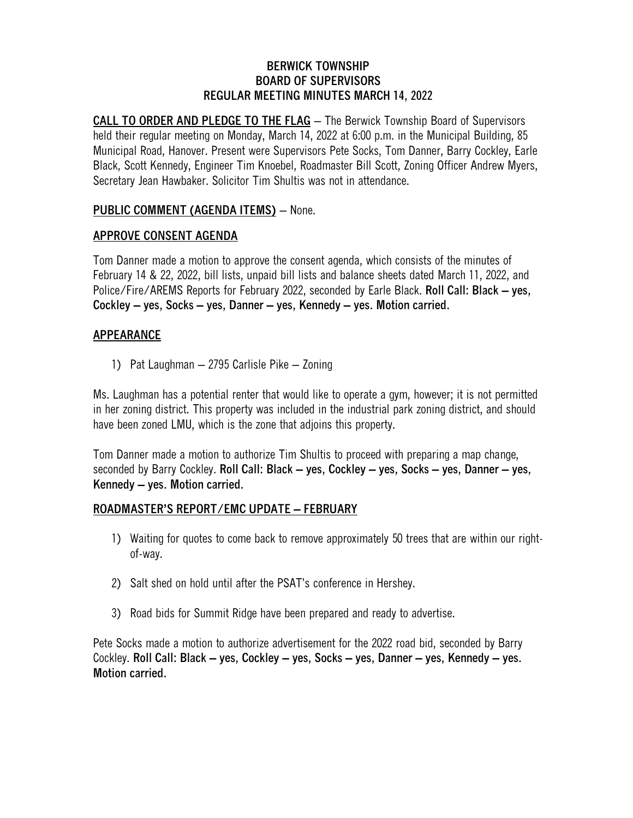#### **BERWICK TOWNSHIP BOARD OF SUPERVISORS REGULAR MEETING MINUTES MARCH 14, 2022**

**CALL TO ORDER AND PLEDGE TO THE FLAG** – The Berwick Township Board of Supervisors held their regular meeting on Monday, March 14, 2022 at 6:00 p.m. in the Municipal Building, 85 Municipal Road, Hanover. Present were Supervisors Pete Socks, Tom Danner, Barry Cockley, Earle Black, Scott Kennedy, Engineer Tim Knoebel, Roadmaster Bill Scott, Zoning Officer Andrew Myers, Secretary Jean Hawbaker. Solicitor Tim Shultis was not in attendance.

# **PUBLIC COMMENT (AGENDA ITEMS)** – None.

# **APPROVE CONSENT AGENDA**

Tom Danner made a motion to approve the consent agenda, which consists of the minutes of February 14 & 22, 2022, bill lists, unpaid bill lists and balance sheets dated March 11, 2022, and Police/Fire/AREMS Reports for February 2022, seconded by Earle Black. **Roll Call: Black – yes, Cockley – yes, Socks – yes, Danner – yes, Kennedy – yes. Motion carried.**

## **APPEARANCE**

1) Pat Laughman – 2795 Carlisle Pike – Zoning

Ms. Laughman has a potential renter that would like to operate a gym, however; it is not permitted in her zoning district. This property was included in the industrial park zoning district, and should have been zoned LMU, which is the zone that adjoins this property.

Tom Danner made a motion to authorize Tim Shultis to proceed with preparing a map change, seconded by Barry Cockley. **Roll Call: Black – yes, Cockley – yes, Socks – yes, Danner – yes, Kennedy – yes. Motion carried.**

### **ROADMASTER'S REPORT/EMC UPDATE – FEBRUARY**

- 1) Waiting for quotes to come back to remove approximately 50 trees that are within our rightof-way.
- 2) Salt shed on hold until after the PSAT's conference in Hershey.
- 3) Road bids for Summit Ridge have been prepared and ready to advertise.

Pete Socks made a motion to authorize advertisement for the 2022 road bid, seconded by Barry Cockley. **Roll Call: Black – yes, Cockley – yes, Socks – yes, Danner – yes, Kennedy – yes. Motion carried.**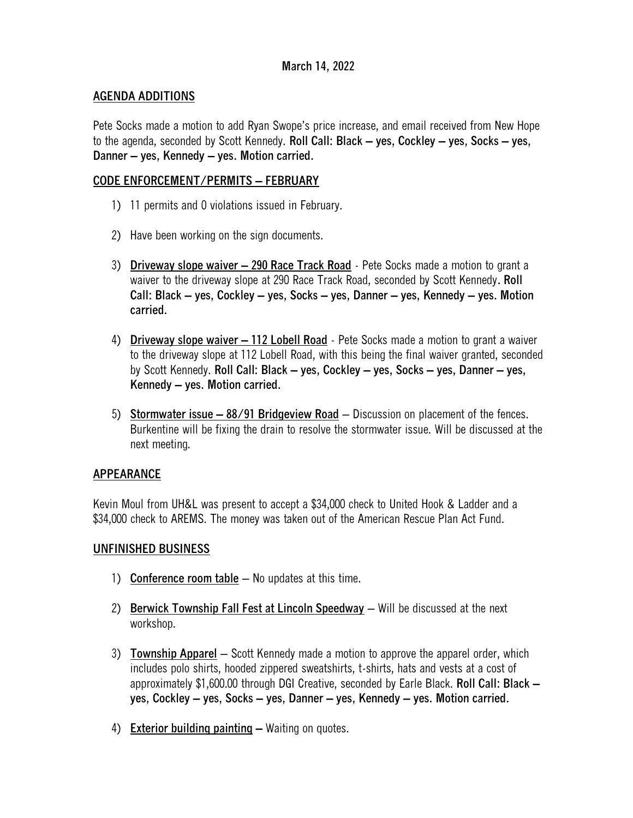## **March 14, 2022**

## **AGENDA ADDITIONS**

Pete Socks made a motion to add Ryan Swope's price increase, and email received from New Hope to the agenda, seconded by Scott Kennedy. **Roll Call: Black – yes, Cockley – yes, Socks – yes, Danner – yes, Kennedy – yes. Motion carried.**

## **CODE ENFORCEMENT/PERMITS – FEBRUARY**

- 1) 11 permits and 0 violations issued in February.
- 2) Have been working on the sign documents.
- 3) **Driveway slope waiver – 290 Race Track Road** Pete Socks made a motion to grant a waiver to the driveway slope at 290 Race Track Road, seconded by Scott Kennedy**. Roll Call: Black – yes, Cockley – yes, Socks – yes, Danner – yes, Kennedy – yes. Motion carried.**
- 4) **Driveway slope waiver – 112 Lobell Road** Pete Socks made a motion to grant a waiver to the driveway slope at 112 Lobell Road, with this being the final waiver granted, seconded by Scott Kennedy. **Roll Call: Black – yes, Cockley – yes, Socks – yes, Danner – yes, Kennedy – yes. Motion carried.**
- 5) **Stormwater issue – 88/91 Bridgeview Road** Discussion on placement of the fences. Burkentine will be fixing the drain to resolve the stormwater issue. Will be discussed at the next meeting.

### **APPEARANCE**

Kevin Moul from UH&L was present to accept a \$34,000 check to United Hook & Ladder and a \$34,000 check to AREMS. The money was taken out of the American Rescue Plan Act Fund.

### **UNFINISHED BUSINESS**

- 1) **Conference room table** No updates at this time.
- 2) **Berwick Township Fall Fest at Lincoln Speedway** Will be discussed at the next workshop.
- 3) **Township Apparel** Scott Kennedy made a motion to approve the apparel order, which includes polo shirts, hooded zippered sweatshirts, t-shirts, hats and vests at a cost of approximately \$1,600.00 through DGI Creative, seconded by Earle Black. **Roll Call: Black – yes, Cockley – yes, Socks – yes, Danner – yes, Kennedy – yes. Motion carried.**
- 4) **Exterior building painting –** Waiting on quotes.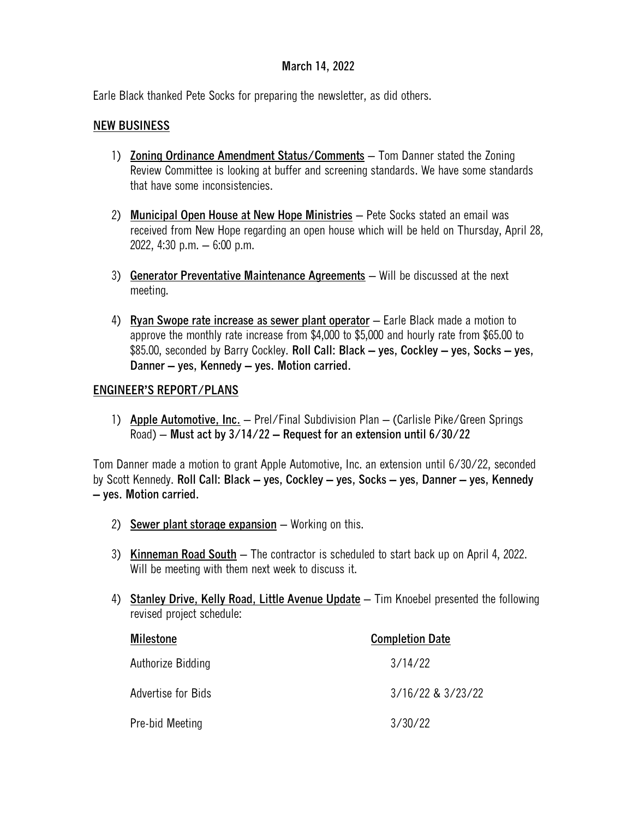## **March 14, 2022**

Earle Black thanked Pete Socks for preparing the newsletter, as did others.

#### **NEW BUSINESS**

- 1) **Zoning Ordinance Amendment Status/Comments** Tom Danner stated the Zoning Review Committee is looking at buffer and screening standards. We have some standards that have some inconsistencies.
- 2) **Municipal Open House at New Hope Ministries** Pete Socks stated an email was received from New Hope regarding an open house which will be held on Thursday, April 28, 2022, 4:30 p.m. – 6:00 p.m.
- 3) **Generator Preventative Maintenance Agreements** Will be discussed at the next meeting.
- 4) **Ryan Swope rate increase as sewer plant operator** Earle Black made a motion to approve the monthly rate increase from \$4,000 to \$5,000 and hourly rate from \$65.00 to \$85.00, seconded by Barry Cockley. **Roll Call: Black – yes, Cockley – yes, Socks – yes, Danner – yes, Kennedy – yes. Motion carried.**

#### **ENGINEER'S REPORT/PLANS**

1) **Apple Automotive, Inc.** – Prel/Final Subdivision Plan – (Carlisle Pike/Green Springs Road) – **Must act by 3/14/22 – Request for an extension until 6/30/22**

Tom Danner made a motion to grant Apple Automotive, Inc. an extension until 6/30/22, seconded by Scott Kennedy. **Roll Call: Black – yes, Cockley – yes, Socks – yes, Danner – yes, Kennedy – yes. Motion carried.**

- 2) **Sewer plant storage expansion** Working on this.
- 3) **Kinneman Road South** The contractor is scheduled to start back up on April 4, 2022. Will be meeting with them next week to discuss it.
- 4) **Stanley Drive, Kelly Road, Little Avenue Update** Tim Knoebel presented the following revised project schedule:

| <b>Milestone</b>   | <b>Completion Date</b> |
|--------------------|------------------------|
| Authorize Bidding  | 3/14/22                |
| Advertise for Bids | 3/16/22 & 3/23/22      |
| Pre-bid Meeting    | 3/30/22                |